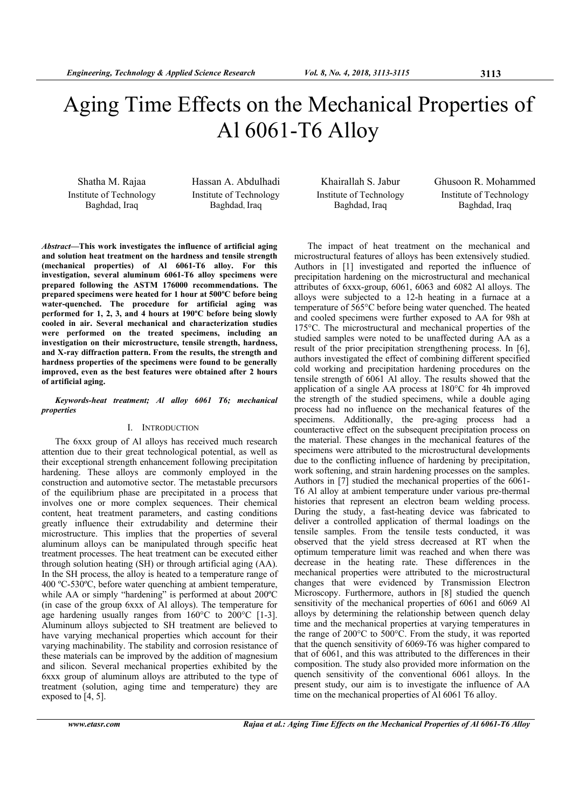# Aging Time Effects on the Mechanical Properties of Al 6061-T6 Alloy

Shatha M. Rajaa Institute of Technology Baghdad, Iraq

Hassan A. Abdulhadi Institute of Technology Baghdad, Iraq

*Abstract***—This work investigates the influence of artificial aging and solution heat treatment on the hardness and tensile strength (mechanical properties) of Al 6061-T6 alloy. For this investigation, several aluminum 6061-T6 alloy specimens were prepared following the ASTM 176000 recommendations. The prepared specimens were heated for 1 hour at 500ºC before being water-quenched. The procedure for artificial aging was performed for 1, 2, 3, and 4 hours at 190ºC before being slowly cooled in air. Several mechanical and characterization studies were performed on the treated specimens, including an investigation on their microstructure, tensile strength, hardness, and X-ray diffraction pattern. From the results, the strength and hardness properties of the specimens were found to be generally improved, even as the best features were obtained after 2 hours of artificial aging.** 

*Keywords-heat treatment; Al alloy 6061 T6; mechanical properties* 

# I. INTRODUCTION

The 6xxx group of Al alloys has received much research attention due to their great technological potential, as well as their exceptional strength enhancement following precipitation hardening. These alloys are commonly employed in the construction and automotive sector. The metastable precursors of the equilibrium phase are precipitated in a process that involves one or more complex sequences. Their chemical content, heat treatment parameters, and casting conditions greatly influence their extrudability and determine their microstructure. This implies that the properties of several aluminum alloys can be manipulated through specific heat treatment processes. The heat treatment can be executed either through solution heating (SH) or through artificial aging (AA). In the SH process, the alloy is heated to a temperature range of 400 ºC-530ºC, before water quenching at ambient temperature, while AA or simply "hardening" is performed at about 200°C (in case of the group 6xxx of Al alloys). The temperature for age hardening usually ranges from 160°C to 200°C [1-3]. Aluminum alloys subjected to SH treatment are believed to have varying mechanical properties which account for their varying machinability. The stability and corrosion resistance of these materials can be improved by the addition of magnesium and silicon. Several mechanical properties exhibited by the 6xxx group of aluminum alloys are attributed to the type of treatment (solution, aging time and temperature) they are exposed to [4, 5].

Khairallah S. Jabur Institute of Technology Baghdad, Iraq

Ghusoon R. Mohammed Institute of Technology Baghdad, Iraq

The impact of heat treatment on the mechanical and microstructural features of alloys has been extensively studied. Authors in [1] investigated and reported the influence of precipitation hardening on the microstructural and mechanical attributes of 6xxx-group, 6061, 6063 and 6082 Al alloys. The alloys were subjected to a 12-h heating in a furnace at a temperature of 565°C before being water quenched. The heated and cooled specimens were further exposed to AA for 98h at 175°C. The microstructural and mechanical properties of the studied samples were noted to be unaffected during AA as a result of the prior precipitation strengthening process. In [6], authors investigated the effect of combining different specified cold working and precipitation hardening procedures on the tensile strength of 6061 Al alloy. The results showed that the application of a single AA process at 180°C for 4h improved the strength of the studied specimens, while a double aging process had no influence on the mechanical features of the specimens. Additionally, the pre-aging process had a counteractive effect on the subsequent precipitation process on the material. These changes in the mechanical features of the specimens were attributed to the microstructural developments due to the conflicting influence of hardening by precipitation, work softening, and strain hardening processes on the samples. Authors in [7] studied the mechanical properties of the 6061- T6 Al alloy at ambient temperature under various pre-thermal histories that represent an electron beam welding process. During the study, a fast-heating device was fabricated to deliver a controlled application of thermal loadings on the tensile samples. From the tensile tests conducted, it was observed that the yield stress decreased at RT when the optimum temperature limit was reached and when there was decrease in the heating rate. These differences in the mechanical properties were attributed to the microstructural changes that were evidenced by Transmission Electron Microscopy. Furthermore, authors in [8] studied the quench sensitivity of the mechanical properties of 6061 and 6069 Al alloys by determining the relationship between quench delay time and the mechanical properties at varying temperatures in the range of 200°C to 500°C. From the study, it was reported that the quench sensitivity of 6069-T6 was higher compared to that of 6061, and this was attributed to the differences in their composition. The study also provided more information on the quench sensitivity of the conventional 6061 alloys. In the present study, our aim is to investigate the influence of AA time on the mechanical properties of Al 6061 T6 alloy.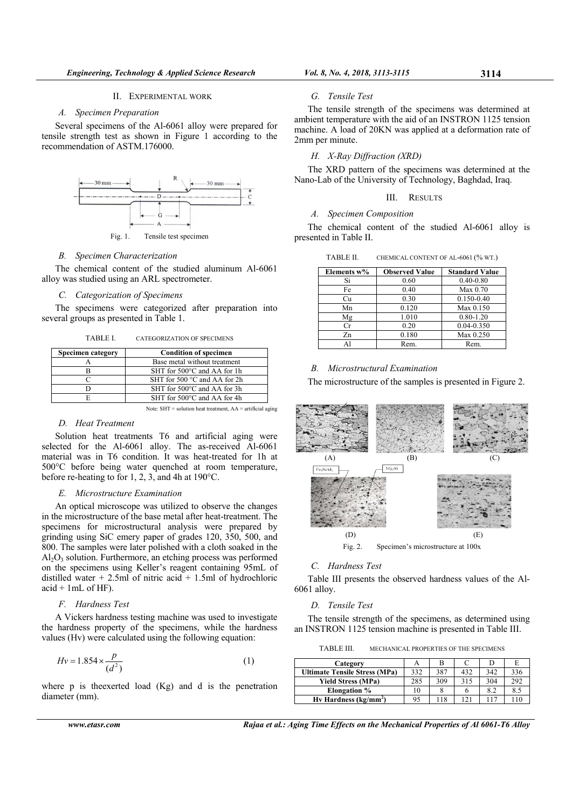## A. Specimen Preparation

Several specimens of the Al-6061 alloy were prepared for tensile strength test as shown in Figure 1 according to the recommendation of ASTM.176000.



Fig. 1. Tensile test specimen

### **B.** Specimen Characterization

The chemical content of the studied aluminum Al-6061 alloy was studied using an ARL spectrometer.

## C. Categorization of Specimens

The specimens were categorized after preparation into several groups as presented in Table 1.

TABLE I. **CATEGORIZATION OF SPECIMENS** 

| <b>Specimen category</b> | <b>Condition of specimen</b>          |  |  |
|--------------------------|---------------------------------------|--|--|
|                          | Base metal without treatment          |  |  |
|                          | SHT for 500°C and AA for 1h           |  |  |
|                          | SHT for 500 $\degree$ C and AA for 2h |  |  |
|                          | SHT for 500°C and AA for 3h           |  |  |
|                          | SHT for 500°C and AA for 4h           |  |  |

Note:  $SHT =$  solution heat treatment,  $AA =$  artificial aging

## D. Heat Treatment

Solution heat treatments T6 and artificial aging were selected for the Al-6061 alloy. The as-received Al-6061 material was in T6 condition. It was heat-treated for 1h at 500°C before being water quenched at room temperature, before re-heating to for 1, 2, 3, and 4h at  $190^{\circ}$ C.

## E. Microstructure Examination

An optical microscope was utilized to observe the changes in the microstructure of the base metal after heat-treatment. The specimens for microstructural analysis were prepared by grinding using SiC emery paper of grades 120, 350, 500, and 800. The samples were later polished with a cloth soaked in the  $Al_2O_3$  solution. Furthermore, an etching process was performed on the specimens using Keller's reagent containing 95mL of distilled water + 2.5ml of nitric acid + 1.5ml of hydrochloric  $acid + 1mL$  of HF).

# F. Hardness Test

A Vickers hardness testing machine was used to investigate the hardness property of the specimens, while the hardness values (Hv) were calculated using the following equation:

$$
Hv = 1.854 \times \frac{p}{(d^2)}\tag{1}
$$

where  $p$  is the exerted load  $(Kg)$  and d is the penetration diameter (mm).

www.etasr.com

Vol. 8, No. 4, 2018, 3113-3115

#### G. Tensile Test

The tensile strength of the specimens was determined at ambient temperature with the aid of an INSTRON 1125 tension machine. A load of 20KN was applied at a deformation rate of 2mm per minute.

## H. X-Ray Diffraction (XRD)

The XRD pattern of the specimens was determined at the Nano-Lab of the University of Technology, Baghdad, Iraq.

# **III.** RESULTS

## A. Specimen Composition

The chemical content of the studied Al-6061 alloy is presented in Table II.

| TABLE II. | CHEMICAL CONTENT OF AL-6061 (% WT.) |  |
|-----------|-------------------------------------|--|
|           |                                     |  |

| Elements w% | <b>Observed Value</b> | <b>Standard Value</b> |
|-------------|-----------------------|-----------------------|
| Si          | 0.60                  | $0.40 - 0.80$         |
| Fe          | 0.40                  | Max 0.70              |
| Сu          | 0.30                  | 0.150-0.40            |
| Mn          | 0.120                 | Max 0.150             |
| Mg          | 1.010                 | $0.80 - 1.20$         |
| Сr          | 0.20                  | $0.04 - 0.350$        |
| Zn          | 0.180                 | Max 0.250             |
|             | Rem.                  | Rem.                  |

## **B.** Microstructural Examination

The microstructure of the samples is presented in Figure 2.



## C. Hardness Test

Table III presents the observed hardness values of the Al- $6061$  allov.

## D. Tensile Test

The tensile strength of the specimens, as determined using an INSTRON 1125 tension machine is presented in Table III.

**TARLE III** MECHANICAL PROPERTIES OF THE SPECIMENS

| А   |     |     |     |     |
|-----|-----|-----|-----|-----|
| 332 | 387 | 432 | 342 | 336 |
| 285 | 309 | 315 | 304 | 292 |
| 10  |     |     | 8.2 | 8.5 |
| 95  | 118 | 121 |     |     |
|     |     |     |     |     |

Rajaa et al.: Aging Time Effects on the Mechanical Properties of Al 6061-T6 Alloy